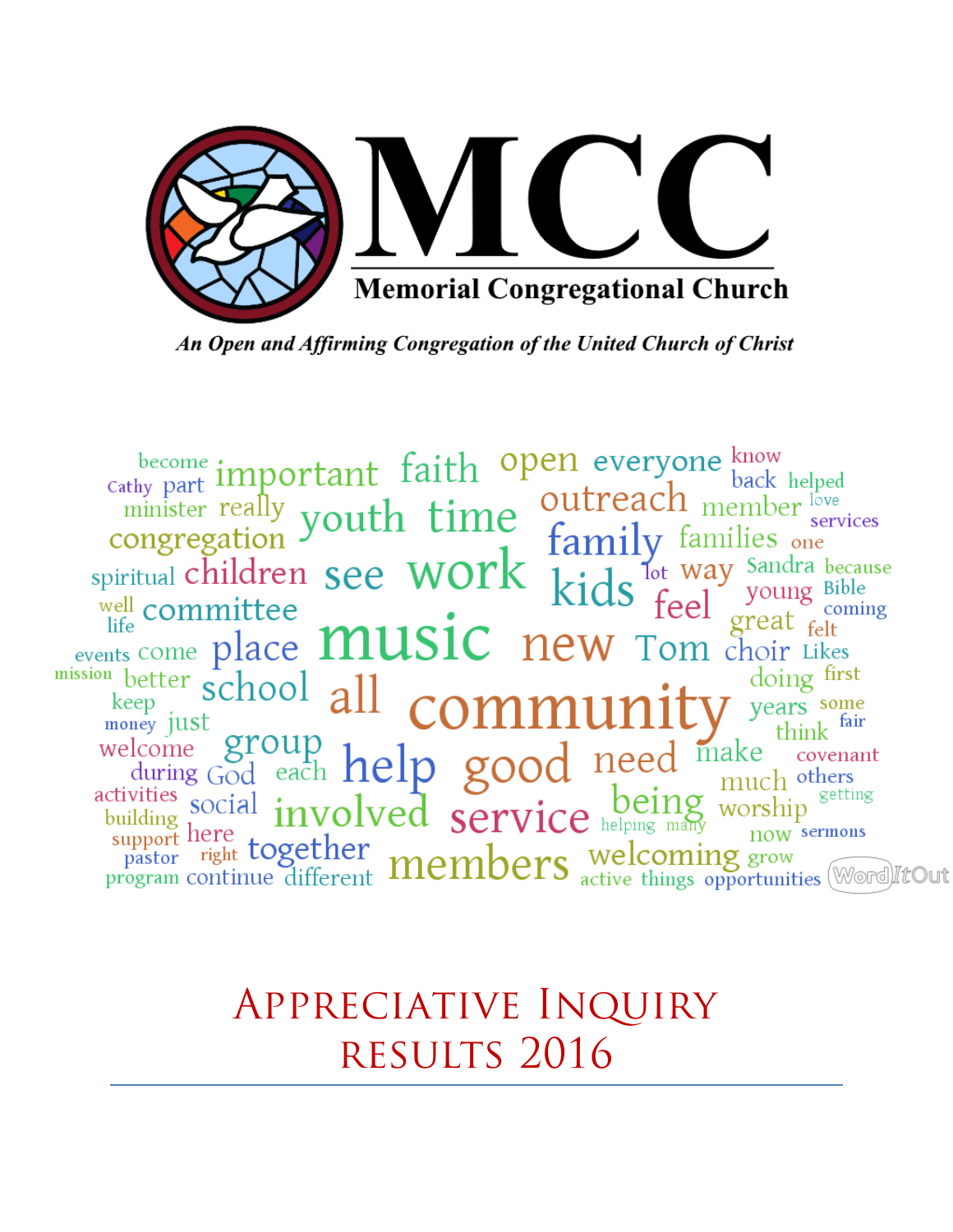

An Open and Affirming Congregation of the United Church of Christ

become important faith open everyone know<br>
congregation youth time outreach member back helped<br>
spiritual children see WOTK kids for young Bib<br>
spiritual committee<br>
life committee<br>
life committee place **MUSIC** new Tom choi services  $\frac{111 \text{y}}{100 \text{t}}$  and  $\frac{111 \text{y}}{100 \text{t}}$  and  $\frac{111 \text{y}}{100 \text{t}}$  and  $\frac{111 \text{y}}{100 \text{t}}$  and  $\frac{111 \text{y}}{100 \text{t}}$  and  $\frac{111 \text{y}}{100 \text{t}}$  and  $\frac{111 \text{y}}{100 \text{t}}$  and  $\frac{111 \text{y}}{100 \text{t}}$  and  $\frac{1$ coming  $\frac{1}{1}$  events come place **MUSIC** new Tom choir Likes  $\begin{array}{c}\n\text{events come place}\n\text{and} \\
\text{heter school}\n\text{allow} \\
\text{key}\n\text{inert}\n\end{array}$ doing first welcome group<br>welcome group<br>during God each help good need make covenant<br>activities social involved service helping many worship<br>support here pastor right together members welcoming grow<br>program continue different **members** 

> Appreciative Inquiry RESULTS 2016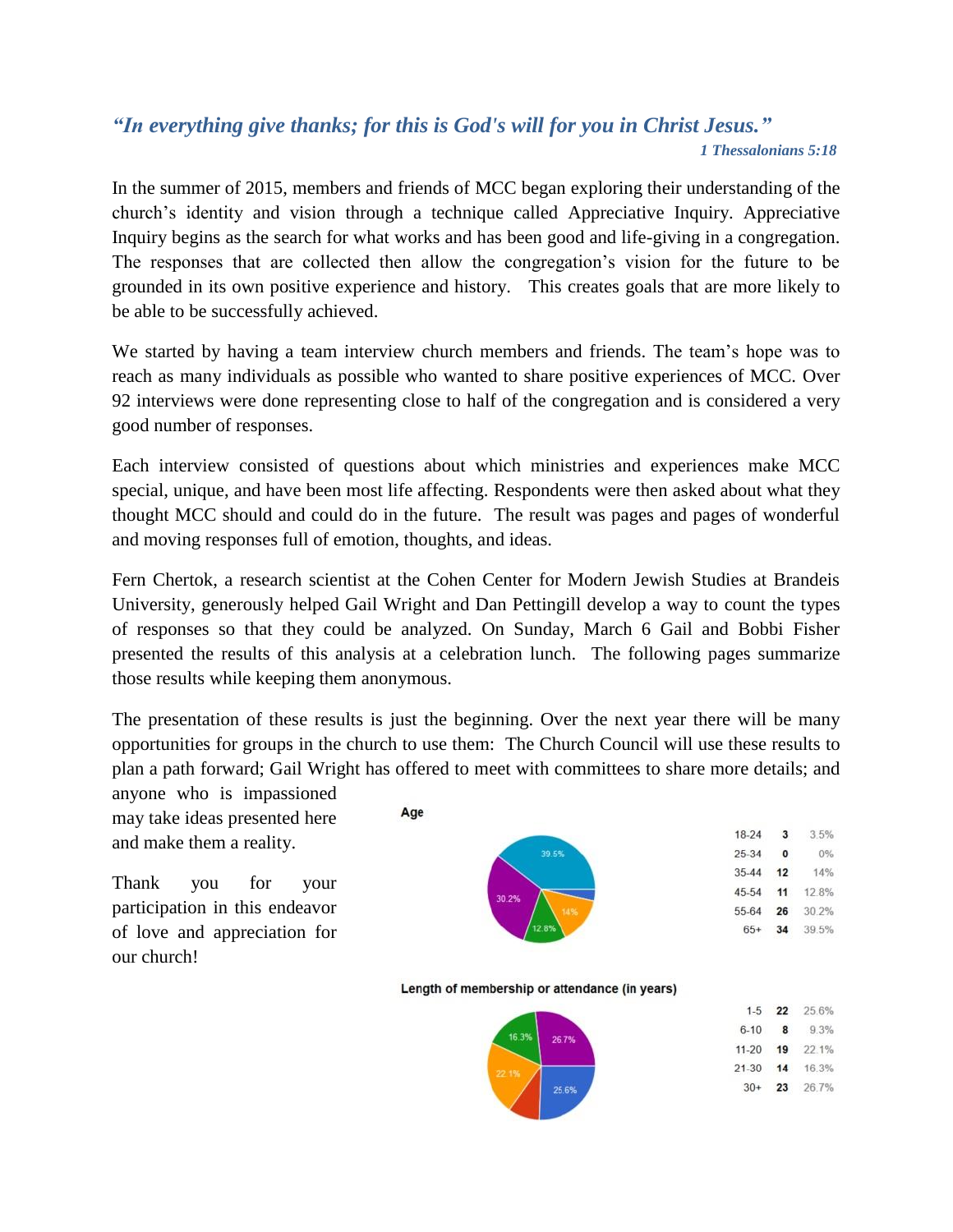#### *"In everything give thanks; for this is God's will for you in Christ Jesus." 1 Thessalonians 5:18*

In the summer of 2015, members and friends of MCC began exploring their understanding of the church's identity and vision through a technique called Appreciative Inquiry. Appreciative Inquiry begins as the search for what works and has been good and life-giving in a congregation. The responses that are collected then allow the congregation's vision for the future to be grounded in its own positive experience and history. This creates goals that are more likely to be able to be successfully achieved.

We started by having a team interview church members and friends. The team's hope was to reach as many individuals as possible who wanted to share positive experiences of MCC. Over 92 interviews were done representing close to half of the congregation and is considered a very good number of responses.

Each interview consisted of questions about which ministries and experiences make MCC special, unique, and have been most life affecting. Respondents were then asked about what they thought MCC should and could do in the future. The result was pages and pages of wonderful and moving responses full of emotion, thoughts, and ideas.

Fern Chertok, a research scientist at the Cohen Center for Modern Jewish Studies at Brandeis University, generously helped Gail Wright and Dan Pettingill develop a way to count the types of responses so that they could be analyzed. On Sunday, March 6 Gail and Bobbi Fisher presented the results of this analysis at a celebration lunch. The following pages summarize those results while keeping them anonymous.

The presentation of these results is just the beginning. Over the next year there will be many opportunities for groups in the church to use them: The Church Council will use these results to plan a path forward; Gail Wright has offered to meet with committees to share more details; and

anyone who is impassioned may take ideas presented here and make them a reality.

Thank you for your participation in this endeavor of love and appreciation for our church!



Length of membership or attendance (in years)

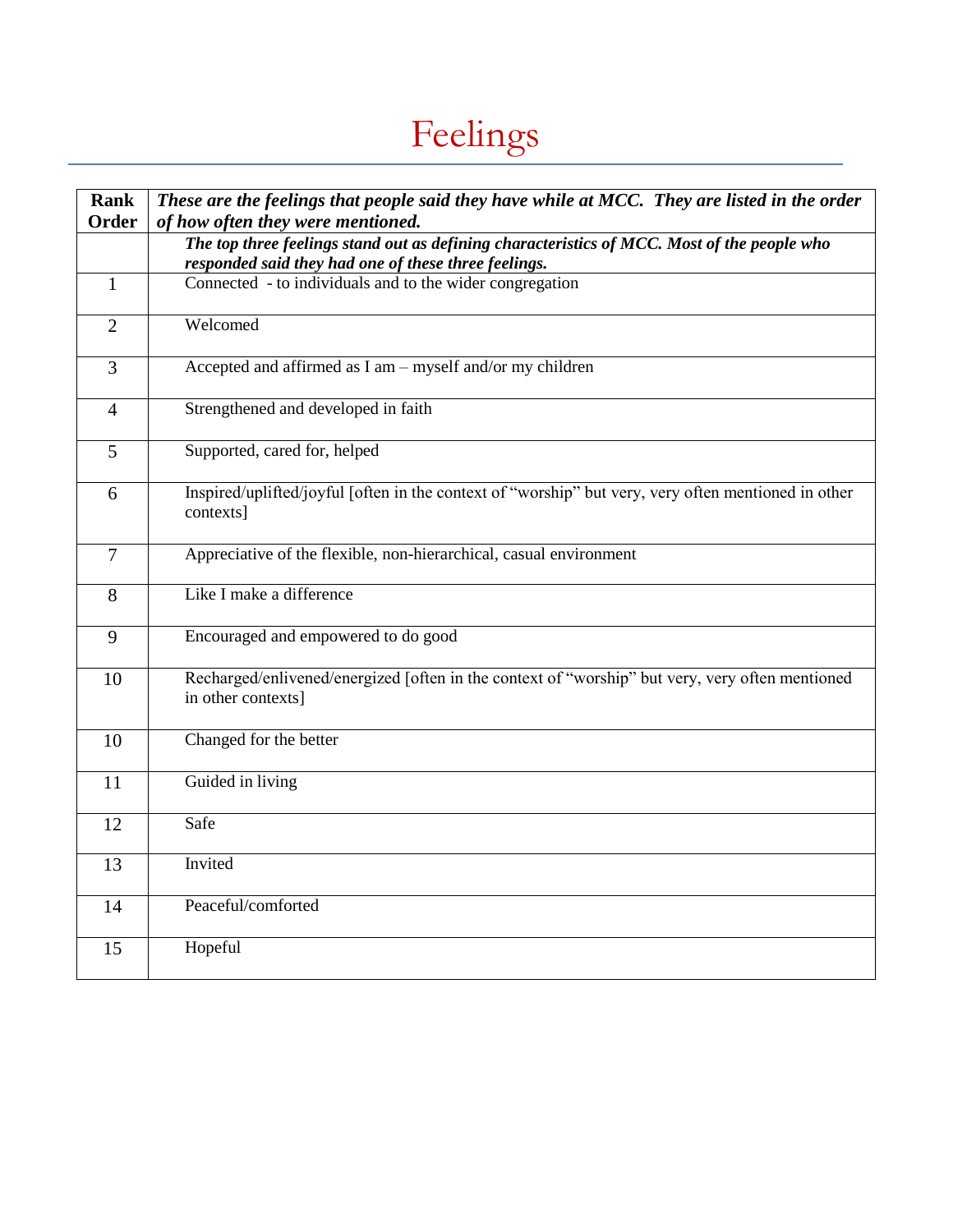# Feelings

| <b>Rank</b><br><b>Order</b> | These are the feelings that people said they have while at MCC. They are listed in the order<br>of how often they were mentioned.                   |
|-----------------------------|-----------------------------------------------------------------------------------------------------------------------------------------------------|
|                             | The top three feelings stand out as defining characteristics of MCC. Most of the people who<br>responded said they had one of these three feelings. |
| $\mathbf{1}$                | Connected - to individuals and to the wider congregation                                                                                            |
| $\overline{2}$              | Welcomed                                                                                                                                            |
| $\overline{3}$              | Accepted and affirmed as I am - myself and/or my children                                                                                           |
| $\overline{4}$              | Strengthened and developed in faith                                                                                                                 |
| 5                           | Supported, cared for, helped                                                                                                                        |
| 6                           | Inspired/uplifted/joyful [often in the context of "worship" but very, very often mentioned in other<br>contexts]                                    |
| $\tau$                      | Appreciative of the flexible, non-hierarchical, casual environment                                                                                  |
| 8                           | Like I make a difference                                                                                                                            |
| 9                           | Encouraged and empowered to do good                                                                                                                 |
| 10                          | Recharged/enlivened/energized [often in the context of "worship" but very, very often mentioned<br>in other contexts]                               |
| 10                          | Changed for the better                                                                                                                              |
| 11                          | Guided in living                                                                                                                                    |
| 12                          | Safe                                                                                                                                                |
| 13                          | Invited                                                                                                                                             |
| 14                          | Peaceful/comforted                                                                                                                                  |
| 15                          | Hopeful                                                                                                                                             |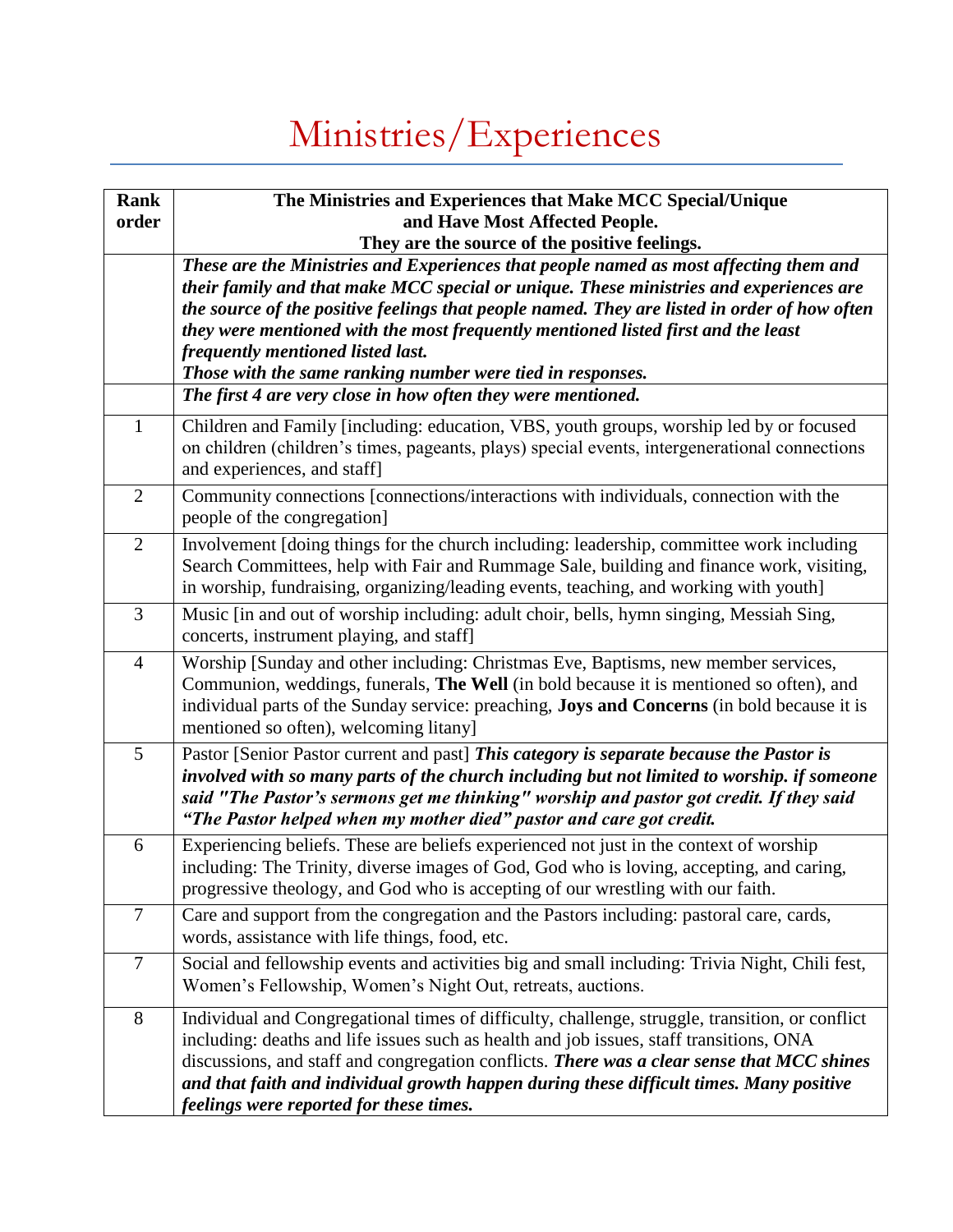# Ministries/Experiences

| <b>Rank</b><br>order | The Ministries and Experiences that Make MCC Special/Unique<br>and Have Most Affected People.<br>They are the source of the positive feelings.                                                                                                                                                                                                                                                                                                                          |
|----------------------|-------------------------------------------------------------------------------------------------------------------------------------------------------------------------------------------------------------------------------------------------------------------------------------------------------------------------------------------------------------------------------------------------------------------------------------------------------------------------|
|                      | These are the Ministries and Experiences that people named as most affecting them and<br>their family and that make MCC special or unique. These ministries and experiences are<br>the source of the positive feelings that people named. They are listed in order of how often<br>they were mentioned with the most frequently mentioned listed first and the least<br>frequently mentioned listed last.<br>Those with the same ranking number were tied in responses. |
|                      | The first 4 are very close in how often they were mentioned.                                                                                                                                                                                                                                                                                                                                                                                                            |
| $\mathbf{1}$         | Children and Family [including: education, VBS, youth groups, worship led by or focused<br>on children (children's times, pageants, plays) special events, intergenerational connections<br>and experiences, and staff]                                                                                                                                                                                                                                                 |
| $\overline{2}$       | Community connections [connections/interactions with individuals, connection with the<br>people of the congregation]                                                                                                                                                                                                                                                                                                                                                    |
| $\overline{2}$       | Involvement [doing things for the church including: leadership, committee work including<br>Search Committees, help with Fair and Rummage Sale, building and finance work, visiting,<br>in worship, fundraising, organizing/leading events, teaching, and working with youth]                                                                                                                                                                                           |
| 3                    | Music [in and out of worship including: adult choir, bells, hymn singing, Messiah Sing,<br>concerts, instrument playing, and staff]                                                                                                                                                                                                                                                                                                                                     |
| $\overline{4}$       | Worship [Sunday and other including: Christmas Eve, Baptisms, new member services,<br>Communion, weddings, funerals, The Well (in bold because it is mentioned so often), and<br>individual parts of the Sunday service: preaching, <b>Joys and Concerns</b> (in bold because it is<br>mentioned so often), welcoming litany                                                                                                                                            |
| 5                    | Pastor [Senior Pastor current and past] This category is separate because the Pastor is<br>involved with so many parts of the church including but not limited to worship. if someone<br>said "The Pastor's sermons get me thinking" worship and pastor got credit. If they said<br>"The Pastor helped when my mother died" pastor and care got credit.                                                                                                                 |
| 6                    | Experiencing beliefs. These are beliefs experienced not just in the context of worship<br>including: The Trinity, diverse images of God, God who is loving, accepting, and caring,<br>progressive theology, and God who is accepting of our wrestling with our faith.                                                                                                                                                                                                   |
| 7                    | Care and support from the congregation and the Pastors including: pastoral care, cards,<br>words, assistance with life things, food, etc.                                                                                                                                                                                                                                                                                                                               |
| $\overline{7}$       | Social and fellowship events and activities big and small including: Trivia Night, Chili fest,<br>Women's Fellowship, Women's Night Out, retreats, auctions.                                                                                                                                                                                                                                                                                                            |
| 8                    | Individual and Congregational times of difficulty, challenge, struggle, transition, or conflict<br>including: deaths and life issues such as health and job issues, staff transitions, ONA<br>discussions, and staff and congregation conflicts. There was a clear sense that MCC shines<br>and that faith and individual growth happen during these difficult times. Many positive<br>feelings were reported for these times.                                          |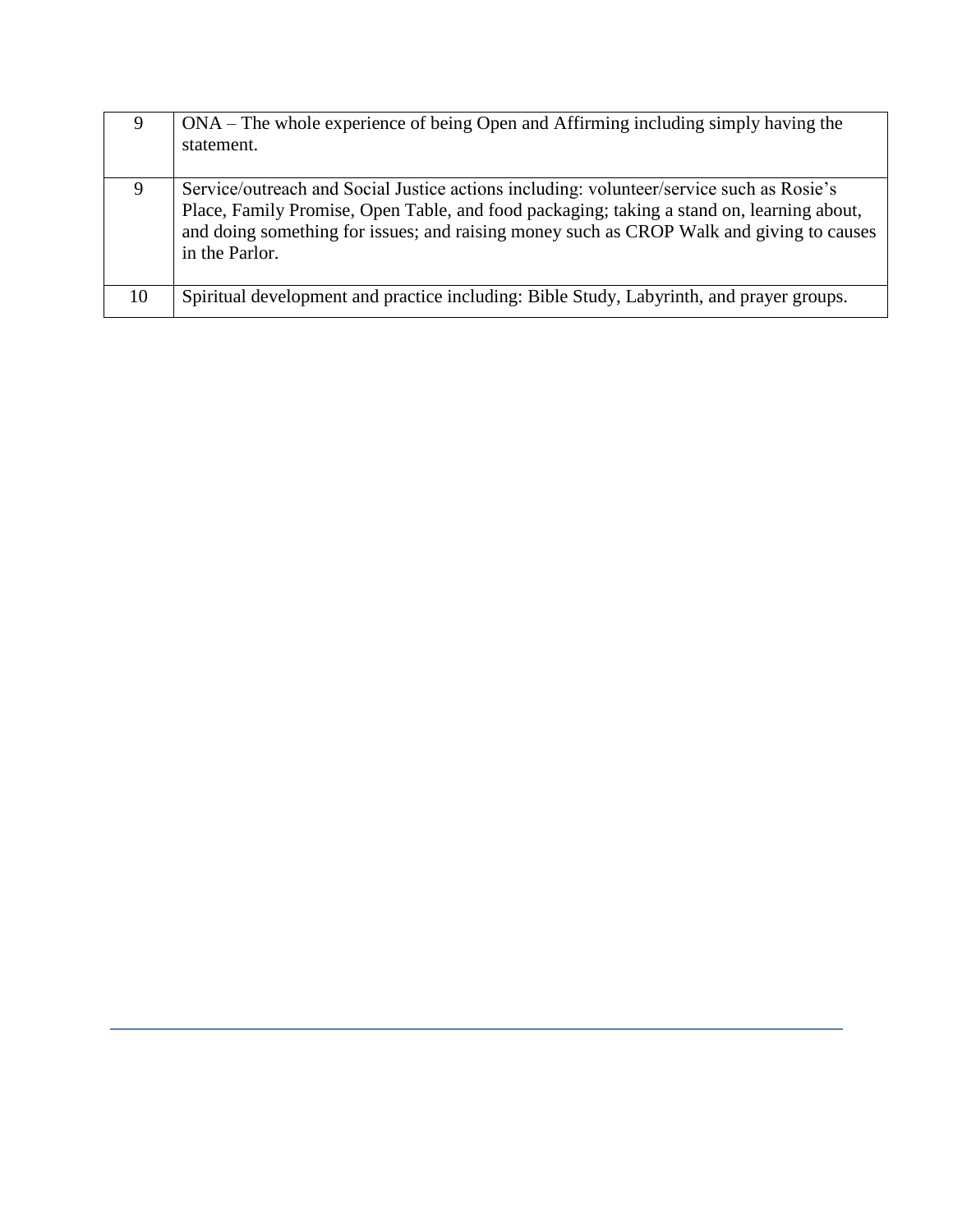| 9  | ONA – The whole experience of being Open and Affirming including simply having the<br>statement.                                                                                                                                                                                                    |
|----|-----------------------------------------------------------------------------------------------------------------------------------------------------------------------------------------------------------------------------------------------------------------------------------------------------|
| 9  | Service/outreach and Social Justice actions including: volunteer/service such as Rosie's<br>Place, Family Promise, Open Table, and food packaging; taking a stand on, learning about,<br>and doing something for issues; and raising money such as CROP Walk and giving to causes<br>in the Parlor. |
| 10 | Spiritual development and practice including: Bible Study, Labyrinth, and prayer groups.                                                                                                                                                                                                            |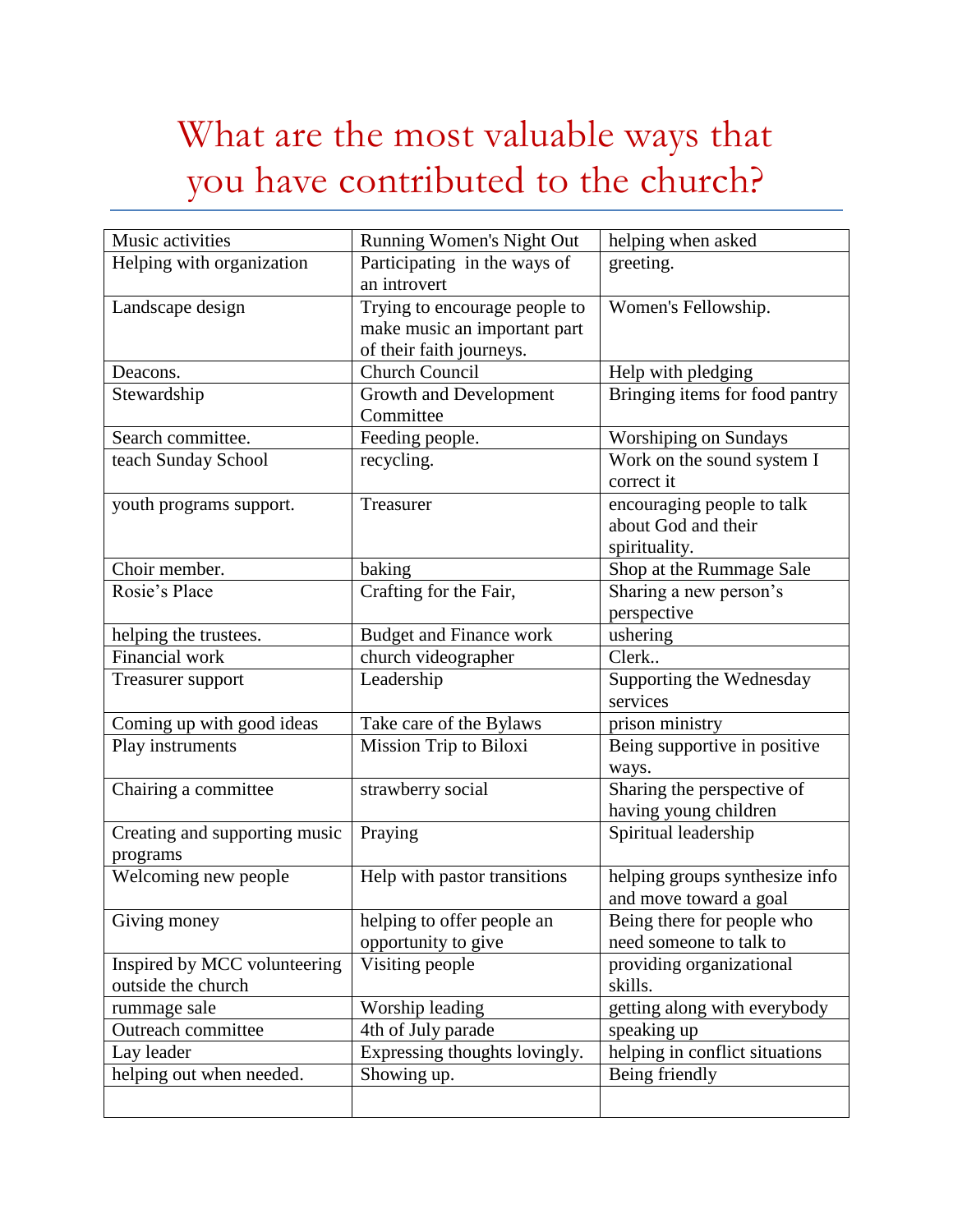### What are the most valuable ways that you have contributed to the church?

| Music activities                                   | Running Women's Night Out                                                                 | helping when asked                                                 |
|----------------------------------------------------|-------------------------------------------------------------------------------------------|--------------------------------------------------------------------|
| Helping with organization                          | Participating in the ways of<br>an introvert                                              | greeting.                                                          |
| Landscape design                                   | Trying to encourage people to<br>make music an important part<br>of their faith journeys. | Women's Fellowship.                                                |
| Deacons.                                           | <b>Church Council</b>                                                                     | Help with pledging                                                 |
| Stewardship                                        | Growth and Development<br>Committee                                                       | Bringing items for food pantry                                     |
| Search committee.                                  | Feeding people.                                                                           | Worshiping on Sundays                                              |
| teach Sunday School                                | recycling.                                                                                | Work on the sound system I<br>correct it                           |
| youth programs support.                            | Treasurer                                                                                 | encouraging people to talk<br>about God and their<br>spirituality. |
| Choir member.                                      | baking                                                                                    | Shop at the Rummage Sale                                           |
| Rosie's Place                                      | Crafting for the Fair,                                                                    | Sharing a new person's<br>perspective                              |
| helping the trustees.                              | <b>Budget and Finance work</b>                                                            | ushering                                                           |
| Financial work                                     | church videographer                                                                       | Clerk                                                              |
| Treasurer support                                  | Leadership                                                                                | Supporting the Wednesday<br>services                               |
| Coming up with good ideas                          | Take care of the Bylaws                                                                   | prison ministry                                                    |
| Play instruments                                   | Mission Trip to Biloxi                                                                    | Being supportive in positive<br>ways.                              |
| Chairing a committee                               | strawberry social                                                                         | Sharing the perspective of<br>having young children                |
| Creating and supporting music<br>programs          | Praying                                                                                   | Spiritual leadership                                               |
| Welcoming new people                               | Help with pastor transitions                                                              | helping groups synthesize info<br>and move toward a goal           |
| Giving money                                       | helping to offer people an<br>opportunity to give                                         | Being there for people who<br>need someone to talk to              |
| Inspired by MCC volunteering<br>outside the church | Visiting people                                                                           | providing organizational<br>skills.                                |
| rummage sale                                       | Worship leading                                                                           | getting along with everybody                                       |
| Outreach committee                                 | 4th of July parade                                                                        | speaking up                                                        |
| Lay leader                                         | Expressing thoughts lovingly.                                                             | helping in conflict situations                                     |
| helping out when needed.                           | Showing up.                                                                               | Being friendly                                                     |
|                                                    |                                                                                           |                                                                    |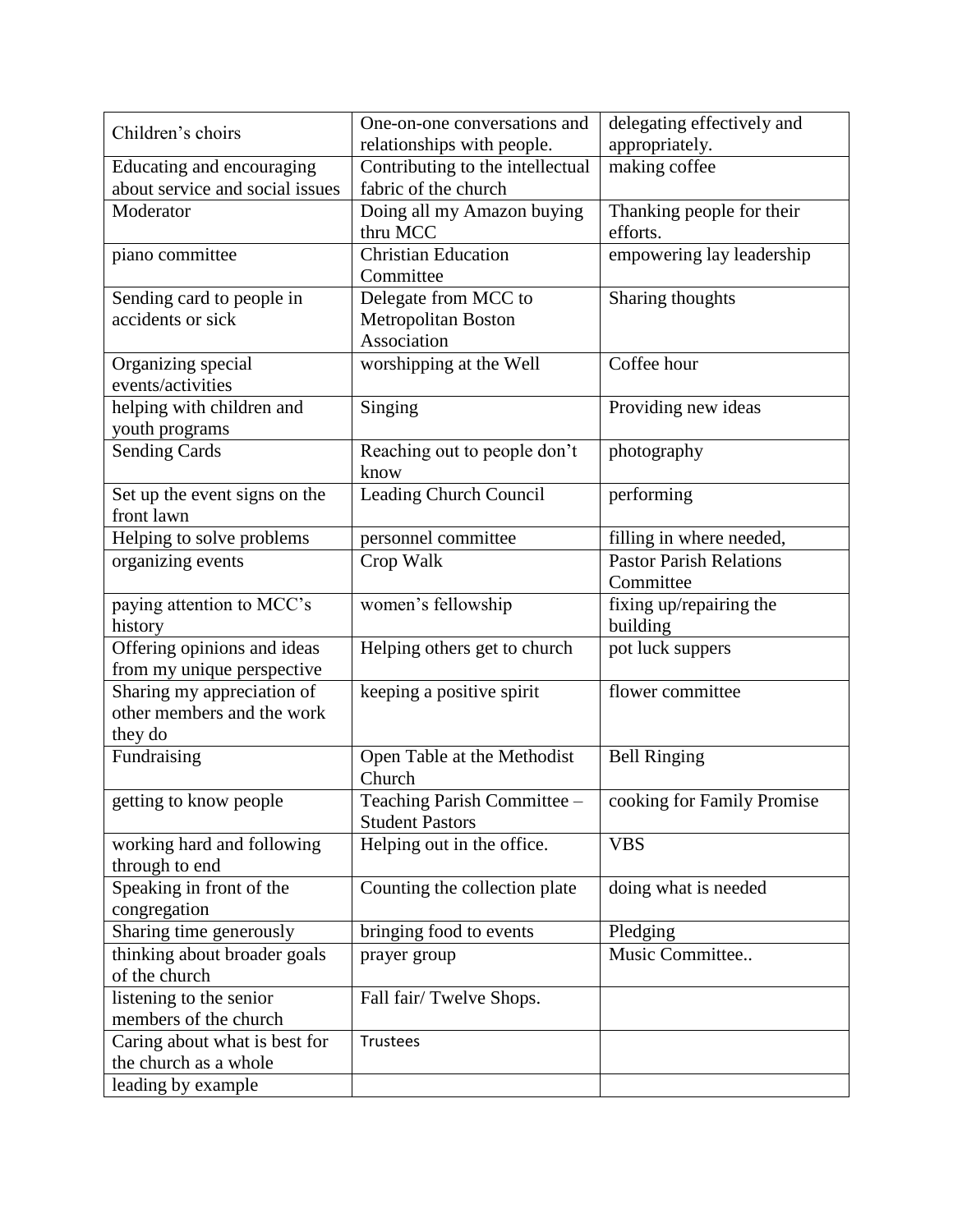| Children's choirs                      | One-on-one conversations and<br>relationships with people. | delegating effectively and<br>appropriately. |
|----------------------------------------|------------------------------------------------------------|----------------------------------------------|
| Educating and encouraging              | Contributing to the intellectual                           | making coffee                                |
| about service and social issues        | fabric of the church                                       |                                              |
| Moderator                              | Doing all my Amazon buying                                 | Thanking people for their                    |
|                                        | thru MCC                                                   | efforts.                                     |
| piano committee                        | <b>Christian Education</b>                                 | empowering lay leadership                    |
|                                        | Committee                                                  |                                              |
| Sending card to people in              | Delegate from MCC to                                       | Sharing thoughts                             |
| accidents or sick                      | Metropolitan Boston                                        |                                              |
|                                        | Association                                                |                                              |
| Organizing special                     | worshipping at the Well                                    | Coffee hour                                  |
| events/activities                      |                                                            |                                              |
| helping with children and              | Singing                                                    | Providing new ideas                          |
| youth programs                         |                                                            |                                              |
| <b>Sending Cards</b>                   | Reaching out to people don't                               | photography                                  |
|                                        | know                                                       |                                              |
| Set up the event signs on the          | Leading Church Council                                     | performing                                   |
| front lawn                             |                                                            |                                              |
| Helping to solve problems              | personnel committee                                        | filling in where needed,                     |
| organizing events                      | Crop Walk                                                  | <b>Pastor Parish Relations</b>               |
|                                        |                                                            | Committee                                    |
| paying attention to MCC's              | women's fellowship                                         | fixing up/repairing the                      |
| history<br>Offering opinions and ideas | Helping others get to church                               | building                                     |
| from my unique perspective             |                                                            | pot luck suppers                             |
| Sharing my appreciation of             | keeping a positive spirit                                  | flower committee                             |
| other members and the work             |                                                            |                                              |
| they do                                |                                                            |                                              |
| Fundraising                            | Open Table at the Methodist                                | <b>Bell Ringing</b>                          |
|                                        | Church                                                     |                                              |
| getting to know people                 | Teaching Parish Committee -                                | cooking for Family Promise                   |
|                                        | <b>Student Pastors</b>                                     |                                              |
| working hard and following             | Helping out in the office.                                 | <b>VBS</b>                                   |
| through to end                         |                                                            |                                              |
| Speaking in front of the               | Counting the collection plate                              | doing what is needed                         |
| congregation                           |                                                            |                                              |
| Sharing time generously                | bringing food to events                                    | Pledging                                     |
| thinking about broader goals           | prayer group                                               | Music Committee                              |
| of the church                          |                                                            |                                              |
| listening to the senior                | Fall fair/Twelve Shops.                                    |                                              |
| members of the church                  |                                                            |                                              |
| Caring about what is best for          | Trustees                                                   |                                              |
| the church as a whole                  |                                                            |                                              |
| leading by example                     |                                                            |                                              |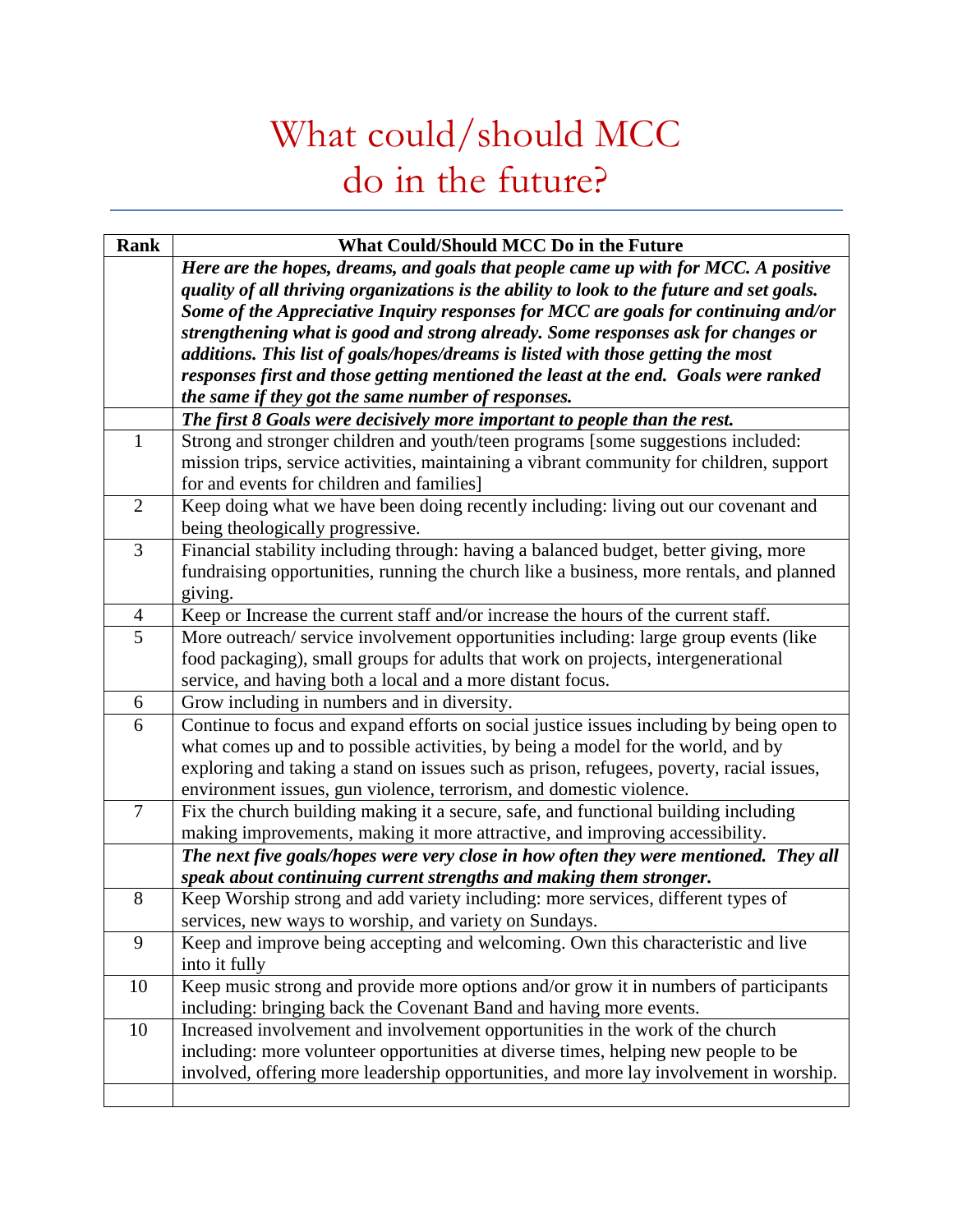### What could/should MCC do in the future?

| <b>Rank</b>    | What Could/Should MCC Do in the Future                                                    |
|----------------|-------------------------------------------------------------------------------------------|
|                | Here are the hopes, dreams, and goals that people came up with for MCC. A positive        |
|                | quality of all thriving organizations is the ability to look to the future and set goals. |
|                | Some of the Appreciative Inquiry responses for MCC are goals for continuing and/or        |
|                | strengthening what is good and strong already. Some responses ask for changes or          |
|                | additions. This list of goals/hopes/dreams is listed with those getting the most          |
|                | responses first and those getting mentioned the least at the end. Goals were ranked       |
|                | the same if they got the same number of responses.                                        |
|                | The first 8 Goals were decisively more important to people than the rest.                 |
| $\mathbf{1}$   | Strong and stronger children and youth/teen programs [some suggestions included:          |
|                | mission trips, service activities, maintaining a vibrant community for children, support  |
|                | for and events for children and families]                                                 |
| $\overline{2}$ | Keep doing what we have been doing recently including: living out our covenant and        |
|                | being theologically progressive.                                                          |
| $\overline{3}$ | Financial stability including through: having a balanced budget, better giving, more      |
|                | fundraising opportunities, running the church like a business, more rentals, and planned  |
|                | giving.                                                                                   |
| $\overline{4}$ | Keep or Increase the current staff and/or increase the hours of the current staff.        |
| 5              | More outreach/service involvement opportunities including: large group events (like       |
|                | food packaging), small groups for adults that work on projects, intergenerational         |
|                | service, and having both a local and a more distant focus.                                |
| 6              | Grow including in numbers and in diversity.                                               |
| 6              | Continue to focus and expand efforts on social justice issues including by being open to  |
|                | what comes up and to possible activities, by being a model for the world, and by          |
|                | exploring and taking a stand on issues such as prison, refugees, poverty, racial issues,  |
|                | environment issues, gun violence, terrorism, and domestic violence.                       |
| $\overline{7}$ | Fix the church building making it a secure, safe, and functional building including       |
|                | making improvements, making it more attractive, and improving accessibility.              |
|                | The next five goals/hopes were very close in how often they were mentioned. They all      |
|                | speak about continuing current strengths and making them stronger.                        |
| 8              | Keep Worship strong and add variety including: more services, different types of          |
|                | services, new ways to worship, and variety on Sundays.                                    |
| 9              | Keep and improve being accepting and welcoming. Own this characteristic and live          |
|                | into it fully                                                                             |
| 10             | Keep music strong and provide more options and/or grow it in numbers of participants      |
|                | including: bringing back the Covenant Band and having more events.                        |
| 10             | Increased involvement and involvement opportunities in the work of the church             |
|                | including: more volunteer opportunities at diverse times, helping new people to be        |
|                | involved, offering more leadership opportunities, and more lay involvement in worship.    |
|                |                                                                                           |